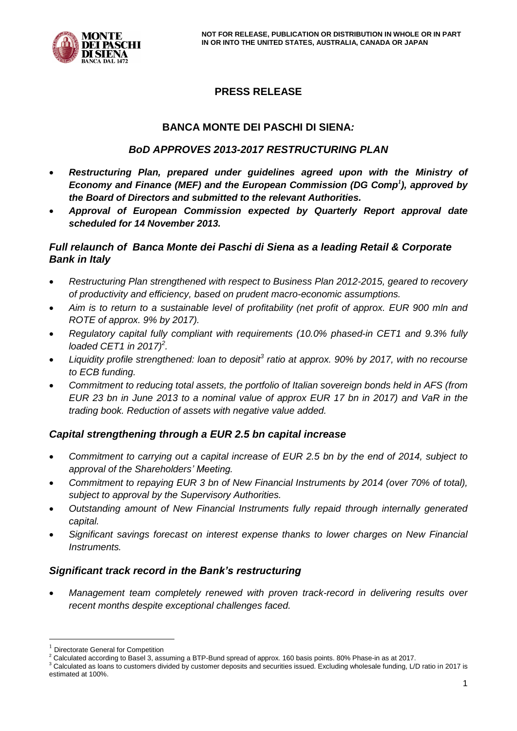

# **PRESS RELEASE**

# **BANCA MONTE DEI PASCHI DI SIENA***:*

## *BoD APPROVES 2013-2017 RESTRUCTURING PLAN*

- *Restructuring Plan, prepared under guidelines agreed upon with the Ministry of Economy and Finance (MEF) and the European Commission (DG Comp<sup>1</sup> ), approved by the Board of Directors and submitted to the relevant Authorities.*
- *Approval of European Commission expected by Quarterly Report approval date scheduled for 14 November 2013.*

## *Full relaunch of Banca Monte dei Paschi di Siena as a leading Retail & Corporate Bank in Italy*

- *Restructuring Plan strengthened with respect to Business Plan 2012-2015, geared to recovery of productivity and efficiency, based on prudent macro-economic assumptions.*
- *Aim is to return to a sustainable level of profitability (net profit of approx. EUR 900 mln and ROTE of approx. 9% by 2017).*
- *Regulatory capital fully compliant with requirements (10.0% phased-in CET1 and 9.3% fully loaded CET1 in 2017)<sup>2</sup> .*
- *Liquidity profile strengthened: loan to deposit<sup>3</sup> ratio at approx. 90% by 2017, with no recourse to ECB funding.*
- *Commitment to reducing total assets, the portfolio of Italian sovereign bonds held in AFS (from EUR 23 bn in June 2013 to a nominal value of approx EUR 17 bn in 2017) and VaR in the trading book. Reduction of assets with negative value added.*

# *Capital strengthening through a EUR 2.5 bn capital increase*

- *Commitment to carrying out a capital increase of EUR 2.5 bn by the end of 2014, subject to approval of the Shareholders' Meeting.*
- *Commitment to repaying EUR 3 bn of New Financial Instruments by 2014 (over 70% of total), subject to approval by the Supervisory Authorities.*
- *Outstanding amount of New Financial Instruments fully repaid through internally generated capital.*
- *Significant savings forecast on interest expense thanks to lower charges on New Financial Instruments.*

## *Significant track record in the Bank's restructuring*

 *Management team completely renewed with proven track-record in delivering results over recent months despite exceptional challenges faced.*

<u>.</u>

<sup>1</sup> Directorate General for Competition

<sup>2</sup> Calculated according to Basel 3, assuming a BTP-Bund spread of approx. 160 basis points. 80% Phase-in as at 2017.

<sup>3</sup> Calculated as loans to customers divided by customer deposits and securities issued. Excluding wholesale funding, L/D ratio in 2017 is estimated at 100%.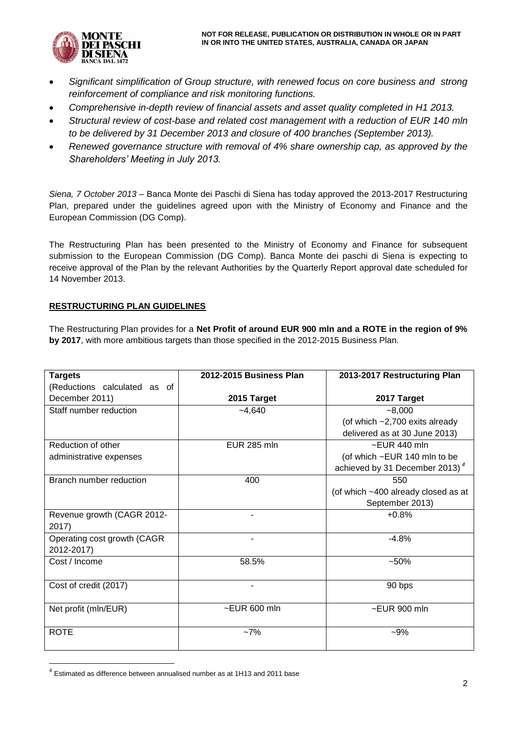

- *Significant simplification of Group structure, with renewed focus on core business and strong reinforcement of compliance and risk monitoring functions.*
- *Comprehensive in-depth review of financial assets and asset quality completed in H1 2013.*
- *Structural review of cost-base and related cost management with a reduction of EUR 140 mln to be delivered by 31 December 2013 and closure of 400 branches (September 2013).*
- *Renewed governance structure with removal of 4% share ownership cap, as approved by the Shareholders' Meeting in July 2013.*

*Siena, 7 October 2013* – Banca Monte dei Paschi di Siena has today approved the 2013-2017 Restructuring Plan, prepared under the guidelines agreed upon with the Ministry of Economy and Finance and the European Commission (DG Comp).

The Restructuring Plan has been presented to the Ministry of Economy and Finance for subsequent submission to the European Commission (DG Comp). Banca Monte dei paschi di Siena is expecting to receive approval of the Plan by the relevant Authorities by the Quarterly Report approval date scheduled for 14 November 2013.

### **RESTRUCTURING PLAN GUIDELINES**

The Restructuring Plan provides for a **Net Profit of around EUR 900 mln and a ROTE in the region of 9% by 2017**, with more ambitious targets than those specified in the 2012-2015 Business Plan.

| <b>Targets</b>               | 2012-2015 Business Plan | 2013-2017 Restructuring Plan               |
|------------------------------|-------------------------|--------------------------------------------|
| (Reductions calculated as of |                         |                                            |
| December 2011)               | 2015 Target             | 2017 Target                                |
| Staff number reduction       | $-4,640$                | $-8,000$                                   |
|                              |                         | (of which $-2,700$ exits already           |
|                              |                         | delivered as at 30 June 2013)              |
| Reduction of other           | <b>EUR 285 mln</b>      | $\sim$ EUR 440 mln                         |
| administrative expenses      |                         | (of which ~EUR 140 mln to be               |
|                              |                         | achieved by 31 December 2013) <sup>4</sup> |
| Branch number reduction      | 400                     | 550                                        |
|                              |                         | (of which ~400 already closed as at        |
|                              |                         | September 2013)                            |
| Revenue growth (CAGR 2012-   |                         | $+0.8%$                                    |
| 2017)                        |                         |                                            |
| Operating cost growth (CAGR  |                         | $-4.8%$                                    |
| 2012-2017)                   |                         |                                            |
| Cost / Income                | 58.5%                   | $-50%$                                     |
|                              |                         |                                            |
| Cost of credit (2017)        | $\blacksquare$          | 90 bps                                     |
|                              |                         |                                            |
| Net profit (mln/EUR)         | $\sim$ EUR 600 mln      | $\sim$ EUR 900 mln                         |
|                              |                         |                                            |
| <b>ROTE</b>                  | $-7%$                   | $-9%$                                      |
|                              |                         |                                            |

 $4$  Estimated as difference between annualised number as at 1H13 and 2011 base

1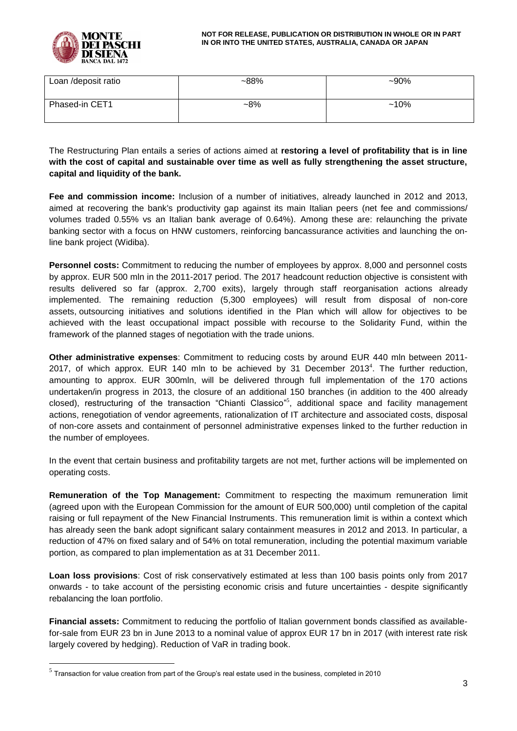

| Loan /deposit ratio | $~188\%$ | $-90%$  |
|---------------------|----------|---------|
| Phased-in CET1      | $-8%$    | $~10\%$ |

The Restructuring Plan entails a series of actions aimed at **restoring a level of profitability that is in line with the cost of capital and sustainable over time as well as fully strengthening the asset structure, capital and liquidity of the bank.**

**Fee and commission income:** Inclusion of a number of initiatives, already launched in 2012 and 2013, aimed at recovering the bank's productivity gap against its main Italian peers (net fee and commissions/ volumes traded 0.55% vs an Italian bank average of 0.64%). Among these are: relaunching the private banking sector with a focus on HNW customers, reinforcing bancassurance activities and launching the online bank project (Widiba).

**Personnel costs:** Commitment to reducing the number of employees by approx. 8,000 and personnel costs by approx. EUR 500 mln in the 2011-2017 period. The 2017 headcount reduction objective is consistent with results delivered so far (approx. 2,700 exits), largely through staff reorganisation actions already implemented. The remaining reduction (5,300 employees) will result from disposal of non-core assets, outsourcing initiatives and solutions identified in the Plan which will allow for objectives to be achieved with the least occupational impact possible with recourse to the Solidarity Fund, within the framework of the planned stages of negotiation with the trade unions.

**Other administrative expenses**: Commitment to reducing costs by around EUR 440 mln between 2011- 2017, of which approx. EUR 140 mln to be achieved by 31 December 2013<sup>4</sup>. The further reduction, amounting to approx. EUR 300mln, will be delivered through full implementation of the 170 actions undertaken/in progress in 2013, the closure of an additional 150 branches (in addition to the 400 already closed), restructuring of the transaction "Chianti Classico"<sup>5</sup>, additional space and facility management actions, renegotiation of vendor agreements, rationalization of IT architecture and associated costs, disposal of non-core assets and containment of personnel administrative expenses linked to the further reduction in the number of employees.

In the event that certain business and profitability targets are not met, further actions will be implemented on operating costs.

**Remuneration of the Top Management:** Commitment to respecting the maximum remuneration limit (agreed upon with the European Commission for the amount of EUR 500,000) until completion of the capital raising or full repayment of the New Financial Instruments. This remuneration limit is within a context which has already seen the bank adopt significant salary containment measures in 2012 and 2013. In particular, a reduction of 47% on fixed salary and of 54% on total remuneration, including the potential maximum variable portion, as compared to plan implementation as at 31 December 2011.

**Loan loss provisions**: Cost of risk conservatively estimated at less than 100 basis points only from 2017 onwards - to take account of the persisting economic crisis and future uncertainties - despite significantly rebalancing the loan portfolio.

**Financial assets:** Commitment to reducing the portfolio of Italian government bonds classified as availablefor-sale from EUR 23 bn in June 2013 to a nominal value of approx EUR 17 bn in 2017 (with interest rate risk largely covered by hedging). Reduction of VaR in trading book.

1

 $<sup>5</sup>$  Transaction for value creation from part of the Group's real estate used in the business, completed in 2010</sup>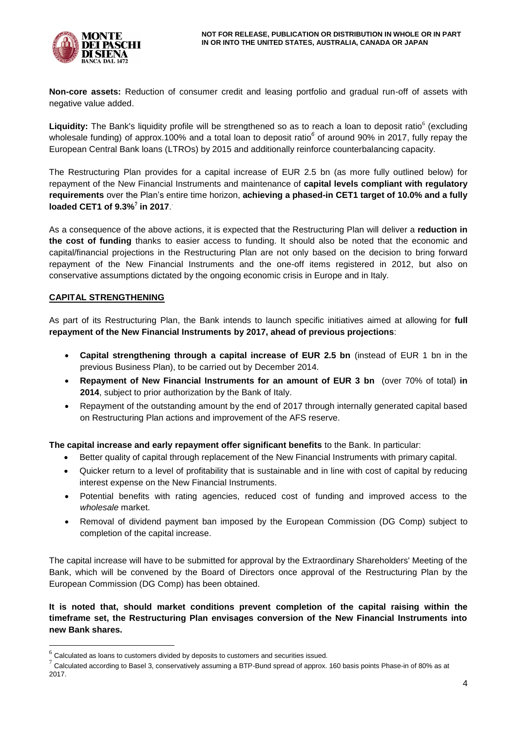

**Non-core assets:** Reduction of consumer credit and leasing portfolio and gradual run-off of assets with negative value added.

Liquidity: The Bank's liquidity profile will be strengthened so as to reach a loan to deposit ratio<sup>6</sup> (excluding wholesale funding) of approx.100% and a total loan to deposit ratio<sup>6</sup> of around 90% in 2017, fully repay the European Central Bank loans (LTROs) by 2015 and additionally reinforce counterbalancing capacity.

The Restructuring Plan provides for a capital increase of EUR 2.5 bn (as more fully outlined below) for repayment of the New Financial Instruments and maintenance of **capital levels compliant with regulatory requirements** over the Plan's entire time horizon, **achieving a phased-in CET1 target of 10.0% and a fully loaded CET1 of 9.3% 7 in 2017**. .

As a consequence of the above actions, it is expected that the Restructuring Plan will deliver a **reduction in the cost of funding** thanks to easier access to funding. It should also be noted that the economic and capital/financial projections in the Restructuring Plan are not only based on the decision to bring forward repayment of the New Financial Instruments and the one-off items registered in 2012, but also on conservative assumptions dictated by the ongoing economic crisis in Europe and in Italy.

### **CAPITAL STRENGTHENING**

1

As part of its Restructuring Plan, the Bank intends to launch specific initiatives aimed at allowing for **full repayment of the New Financial Instruments by 2017, ahead of previous projections**:

- **Capital strengthening through a capital increase of EUR 2.5 bn** (instead of EUR 1 bn in the previous Business Plan), to be carried out by December 2014.
- **Repayment of New Financial Instruments for an amount of EUR 3 bn** (over 70% of total) **in 2014**, subject to prior authorization by the Bank of Italy.
- Repayment of the outstanding amount by the end of 2017 through internally generated capital based on Restructuring Plan actions and improvement of the AFS reserve.

**The capital increase and early repayment offer significant benefits** to the Bank. In particular:

- Better quality of capital through replacement of the New Financial Instruments with primary capital.
- Quicker return to a level of profitability that is sustainable and in line with cost of capital by reducing interest expense on the New Financial Instruments.
- Potential benefits with rating agencies, reduced cost of funding and improved access to the *wholesale* market.
- Removal of dividend payment ban imposed by the European Commission (DG Comp) subject to completion of the capital increase.

The capital increase will have to be submitted for approval by the Extraordinary Shareholders' Meeting of the Bank, which will be convened by the Board of Directors once approval of the Restructuring Plan by the European Commission (DG Comp) has been obtained.

**It is noted that, should market conditions prevent completion of the capital raising within the timeframe set, the Restructuring Plan envisages conversion of the New Financial Instruments into new Bank shares.**

 $<sup>6</sup>$  Calculated as loans to customers divided by deposits to customers and securities issued.</sup>

 $^7$  Calculated according to Basel 3, conservatively assuming a BTP-Bund spread of approx. 160 basis points Phase-in of 80% as at 2017.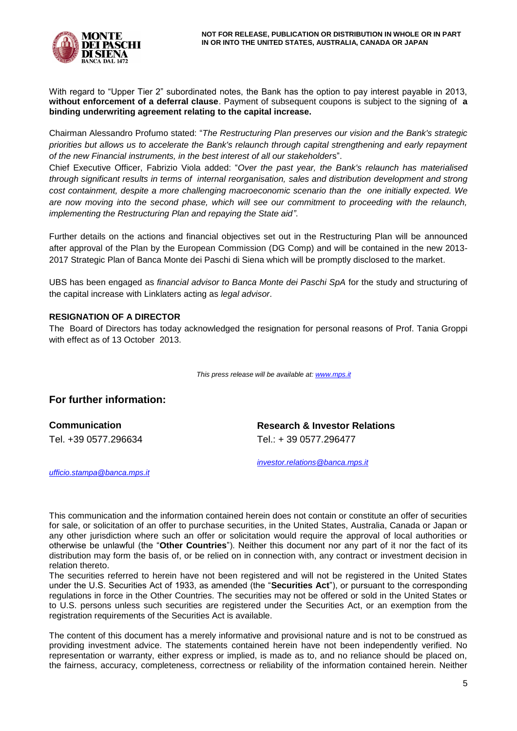

With regard to "Upper Tier 2" subordinated notes, the Bank has the option to pay interest payable in 2013, **without enforcement of a deferral clause**. Payment of subsequent coupons is subject to the signing of **a binding underwriting agreement relating to the capital increase.**

Chairman Alessandro Profumo stated: "*The Restructuring Plan preserves our vision and the Bank's strategic priorities but allows us to accelerate the Bank's relaunch through capital strengthening and early repayment of the new Financial instruments, in the best interest of all our stakeholder*s".

Chief Executive Officer, Fabrizio Viola added: "*Over the past year, the Bank's relaunch has materialised through significant results in terms of internal reorganisation, sales and distribution development and strong cost containment, despite a more challenging macroeconomic scenario than the one initially expected. We are now moving into the second phase, which will see our commitment to proceeding with the relaunch, implementing the Restructuring Plan and repaying the State aid"*.

Further details on the actions and financial objectives set out in the Restructuring Plan will be announced after approval of the Plan by the European Commission (DG Comp) and will be contained in the new 2013- 2017 Strategic Plan of Banca Monte dei Paschi di Siena which will be promptly disclosed to the market.

UBS has been engaged as *financial advisor to Banca Monte dei Paschi SpA* for the study and structuring of the capital increase with Linklaters acting as *legal advisor*.

### **RESIGNATION OF A DIRECTOR**

The Board of Directors has today acknowledged the resignation for personal reasons of Prof. Tania Groppi with effect as of 13 October 2013.

*This press release will be available at[: www.mps.it](http://www.mps.it/)*

## **For further information:**

**Communication Research & Investor Relations** Tel. +39 0577.296634 Tel.: + 39 0577.296477

*[investor.relations@banca.mps.it](mailto:investor.relations@banca.mps.it)*

*[ufficio.stampa@banca.mps.it](mailto:ufficio.stampa@banca.mps.it)*

This communication and the information contained herein does not contain or constitute an offer of securities for sale, or solicitation of an offer to purchase securities, in the United States, Australia, Canada or Japan or any other jurisdiction where such an offer or solicitation would require the approval of local authorities or otherwise be unlawful (the "**Other Countries**"). Neither this document nor any part of it nor the fact of its distribution may form the basis of, or be relied on in connection with, any contract or investment decision in relation thereto.

The securities referred to herein have not been registered and will not be registered in the United States under the U.S. Securities Act of 1933, as amended (the "**Securities Act**"), or pursuant to the corresponding regulations in force in the Other Countries. The securities may not be offered or sold in the United States or to U.S. persons unless such securities are registered under the Securities Act, or an exemption from the registration requirements of the Securities Act is available.

The content of this document has a merely informative and provisional nature and is not to be construed as providing investment advice. The statements contained herein have not been independently verified. No representation or warranty, either express or implied, is made as to, and no reliance should be placed on, the fairness, accuracy, completeness, correctness or reliability of the information contained herein. Neither